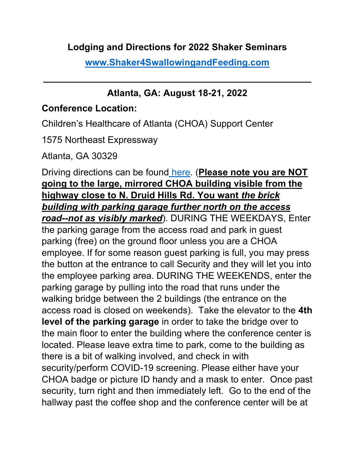## **Lodging and Directions for 2022 Shaker Seminars**

**[www.Shaker4SwallowingandFeeding.com](http://www.shaker4swallowingandfeeding.com/)**

**\_\_\_\_\_\_\_\_\_\_\_\_\_\_\_\_\_\_\_\_\_\_\_\_\_\_\_\_\_\_\_\_\_\_\_\_\_\_\_\_\_\_\_\_\_\_\_\_\_\_\_\_**

# **Atlanta, GA: August 18-21, 2022**

## **Conference Location:**

Children's Healthcare of Atlanta (CHOA) Support Center

1575 Northeast Expressway

Atlanta, GA 30329

Driving directions can be found [here.](https://www.choa.org/locations/childrens-support-center) (**Please note you are NOT going to the large, mirrored CHOA building visible from the highway close to N. Druid Hills Rd. You want** *the brick building with parking garage further north on the access road--not as visibly marked*). DURING THE WEEKDAYS, Enter the parking garage from the access road and park in guest parking (free) on the ground floor unless you are a CHOA employee. If for some reason guest parking is full, you may press the button at the entrance to call Security and they will let you into the employee parking area. DURING THE WEEKENDS, enter the parking garage by pulling into the road that runs under the walking bridge between the 2 buildings (the entrance on the access road is closed on weekends). Take the elevator to the **4th level of the parking garage** in order to take the bridge over to the main floor to enter the building where the conference center is located. Please leave extra time to park, come to the building as there is a bit of walking involved, and check in with security/perform COVID-19 screening. Please either have your CHOA badge or picture ID handy and a mask to enter. Once past security, turn right and then immediately left. Go to the end of the hallway past the coffee shop and the conference center will be at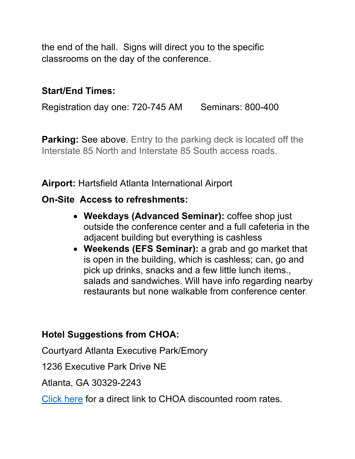the end of the hall. Signs will direct you to the specific classrooms on the day of the conference.

### **Start/End Times:**

Registration day one: 720-745 AM Seminars: 800-400

**Parking: See above.** Entry to the parking deck is located off the Interstate 85 North and Interstate 85 South access roads.

**Airport:** Hartsfield Atlanta International Airport

#### **On-Site Access to refreshments:**

- **Weekdays (Advanced Seminar):** coffee shop just outside the conference center and a full cafeteria in the adjacent building but everything is cashless
- **Weekends (EFS Seminar):** a grab and go market that is open in the building, which is cashless; can, go and pick up drinks, snacks and a few little lunch items., salads and sandwiches. Will have info regarding nearby restaurants but none walkable from conference center.

#### **Hotel Suggestions from CHOA:**

Courtyard Atlanta Executive Park/Emory

1236 Executive Park Drive NE

Atlanta, GA 30329-2243

[Click here](https://www.marriott.com/meeting-event-hotels/group-corporate-travel/groupCorp.mi?resLinkData=Children) for a direct link to CHOA discounted room rates.